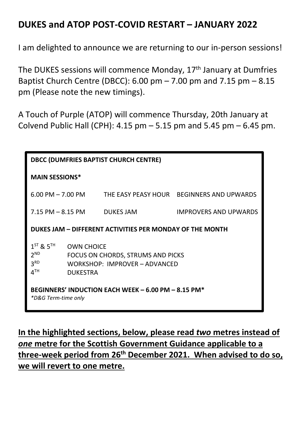## **DUKES and ATOP POST-COVID RESTART – JANUARY 2022**

I am delighted to announce we are returning to our in-person sessions!

The DUKES sessions will commence Monday, 17<sup>th</sup> January at Dumfries Baptist Church Centre (DBCC):  $6.00 \text{ pm} - 7.00 \text{ pm}$  and  $7.15 \text{ pm} - 8.15$ pm (Please note the new timings).

A Touch of Purple (ATOP) will commence Thursday, 20th January at Colvend Public Hall (CPH):  $4.15$  pm  $-5.15$  pm and  $5.45$  pm  $-6.45$  pm.

| <b>DBCC (DUMFRIES BAPTIST CHURCH CENTRE)</b>                                                                                                                                        |                  |                                           |
|-------------------------------------------------------------------------------------------------------------------------------------------------------------------------------------|------------------|-------------------------------------------|
| <b>MAIN SESSIONS*</b>                                                                                                                                                               |                  |                                           |
| $6.00$ PM $-$ 7.00 PM                                                                                                                                                               |                  | THE EASY PEASY HOUR BEGINNERS AND UPWARDS |
| 7.15 PM – 8.15 PM                                                                                                                                                                   | <b>DUKES JAM</b> | <b>IMPROVERS AND UPWARDS</b>              |
| DUKES JAM - DIFFERENT ACTIVITIES PER MONDAY OF THE MONTH                                                                                                                            |                  |                                           |
| $1^{ST}$ & $5^{TH}$<br><b>OWN CHOICE</b><br>$2^{ND}$<br>FOCUS ON CHORDS, STRUMS AND PICKS<br>3 <sup>RD</sup><br>WORKSHOP: IMPROVER - ADVANCED<br>4 <sup>TH</sup><br><b>DUKESTRA</b> |                  |                                           |
| BEGINNERS' INDUCTION EACH WEEK - 6.00 PM - 8.15 PM*<br><i>*D&amp;G Term-time only</i>                                                                                               |                  |                                           |

**In the highlighted sections, below, please read** *two* **metres instead of**  *one* **metre for the Scottish Government Guidance applicable to a three-week period from 26th December 2021. When advised to do so, we will revert to one metre.**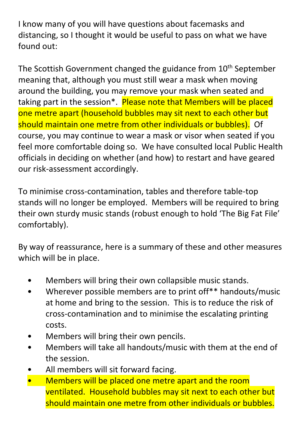I know many of you will have questions about facemasks and distancing, so I thought it would be useful to pass on what we have found out:

The Scottish Government changed the guidance from 10<sup>th</sup> September meaning that, although you must still wear a mask when moving around the building, you may remove your mask when seated and taking part in the session<sup>\*</sup>. Please note that Members will be placed one metre apart (household bubbles may sit next to each other but should maintain one metre from other individuals or bubbles). Of course, you may continue to wear a mask or visor when seated if you feel more comfortable doing so. We have consulted local Public Health officials in deciding on whether (and how) to restart and have geared our risk-assessment accordingly.

To minimise cross-contamination, tables and therefore table-top stands will no longer be employed. Members will be required to bring their own sturdy music stands (robust enough to hold 'The Big Fat File' comfortably).

By way of reassurance, here is a summary of these and other measures which will be in place.

- Members will bring their own collapsible music stands.
- Wherever possible members are to print off\*\* handouts/music at home and bring to the session. This is to reduce the risk of cross-contamination and to minimise the escalating printing costs.
- Members will bring their own pencils.
- Members will take all handouts/music with them at the end of the session.
- All members will sit forward facing.
- Members will be placed one metre apart and the room ventilated. Household bubbles may sit next to each other but should maintain one metre from other individuals or bubbles.